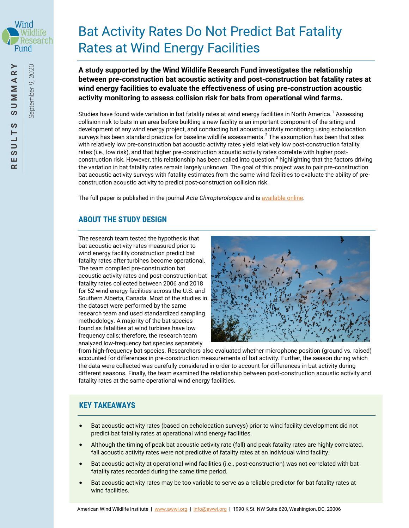

September 9, 2020

September 9, 2020

# Bat Activity Rates Do Not Predict Bat Fatality Rates at Wind Energy Facilities

**A study supported by the Wind Wildlife Research Fund investigates the relationship between pre-construction bat acoustic activity and post-construction bat fatality rates at wind energy facilities to evaluate the effectiveness of using pre-construction acoustic activity monitoring to assess collision risk for bats from operational wind farms.** 

Studies have found wide variation in bat fatality rates at wind energy facilities in North America.<sup>1</sup> Assessing collision risk to bats in an area before building a new facility is an important component of the siting and development of any wind energy project, and conducting bat acoustic activity monitoring using echolocation surveys has been standard practice for baseline wildlife assessments.<sup>2</sup> The assumption has been that sites with relatively low pre-construction bat acoustic activity rates yield relatively low post-construction fatality rates (i.e., low risk), and that higher pre-construction acoustic activity rates correlate with higher postconstruction risk. However, this relationship has been called into question,<sup>3</sup> highlighting that the factors driving the variation in bat fatality rates remain largely unknown. The goal of this project was to pair pre-construction bat acoustic activity surveys with fatality estimates from the same wind facilities to evaluate the ability of preconstruction acoustic activity to predict post-construction collision risk.

The full paper is published in the journal *Acta Chiropterologica and is available online*.

# **ABOUT THE STUDY DESIGN**

The research team tested the hypothesis that bat acoustic activity rates measured prior to wind energy facility construction predict bat fatality rates after turbines become operational. The team compiled pre-construction bat acoustic activity rates and post-construction bat fatality rates collected between 2006 and 2018 for 52 wind energy facilities across the U.S. and Southern Alberta, Canada. Most of the studies in the dataset were performed by the same research team and used standardized sampling methodology. A majority of the bat species found as fatalities at wind turbines have low frequency calls; therefore, the research team analyzed low-frequency bat species separately



from high-frequency bat species. Researchers also evaluated whether microphone position (ground vs. raised) accounted for differences in pre-construction measurements of bat activity. Further, the season during which the data were collected was carefully considered in order to account for differences in bat activity during different seasons. Finally, the team examined the relationship between post-construction acoustic activity and fatality rates at the same operational wind energy facilities.

## **KEY TAKEAWAYS**

- Bat acoustic activity rates (based on echolocation surveys) prior to wind facility development did not predict bat fatality rates at operational wind energy facilities.
- Although the timing of peak bat acoustic activity rate (fall) and peak fatality rates are highly correlated, fall acoustic activity rates were not predictive of fatality rates at an individual wind facility.
- Bat acoustic activity at operational wind facilities (i.e., post-construction) was not correlated with bat fatality rates recorded during the same time period.
- Bat acoustic activity rates may be too variable to serve as a reliable predictor for bat fatality rates at wind facilities.